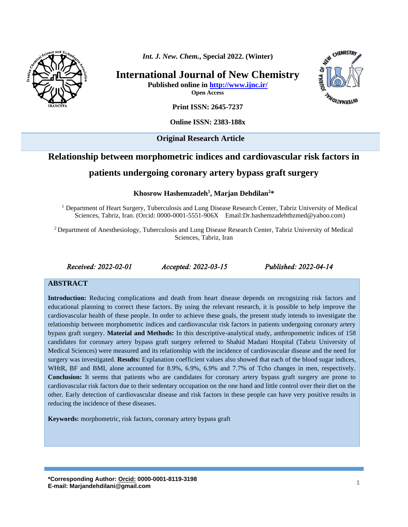

*Int. J. New. Chem.***, Special 2022. (Winter)**

**International Journal of New Chemistry Published online in<http://www.ijnc.ir/>**

**Open Access**



**Print ISSN: 2645-7237**

**Online ISSN: 2383-188x** 

**Original Research Article** 

# **Relationship between morphometric indices and cardiovascular risk factors in**

# **patients undergoing coronary artery bypass graft surgery**

**Khosrow Hashemzadeh<sup>1</sup> , Marjan Dehdilan<sup>2</sup>\***

<sup>1</sup> Department of Heart Surgery, Tuberculosis and Lung Disease Research Center, Tabriz University of Medical Sciences, Tabriz, Iran. (Orcid: 0000-0001-5551-906X Email[:Dr.hashemzadehtbzmed@yahoo.com\)](mailto:Dr.hashemzadehtbzmed@yahoo.com)

<sup>2</sup> Department of Anesthesiology, Tuberculosis and Lung Disease Research Center, Tabriz University of Medical Sciences, Tabriz, Iran

*Received: 2022-02-01 Accepted: 2022-03-15 Published: 2022-04-14* 

#### **ABSTRACT**

**Introduction:** Reducing complications and death from heart disease depends on recognizing risk factors and educational planning to correct these factors. By using the relevant research, it is possible to help improve the cardiovascular health of these people. In order to achieve these goals, the present study intends to investigate the relationship between morphometric indices and cardiovascular risk factors in patients undergoing coronary artery bypass graft surgery. **Material and Methods:** In this descriptive-analytical study, anthropometric indices of 158 candidates for coronary artery bypass graft surgery referred to Shahid Madani Hospital (Tabriz University of Medical Sciences) were measured and its relationship with the incidence of cardiovascular disease and the need for surgery was investigated. **Results:** Explanation coefficient values also showed that each of the blood sugar indices, WHtR, BF and BMI, alone accounted for 8.9%, 6.9%, 6.9% and 7.7% of Tcho changes in men, respectively. **Conclusion:** It seems that patients who are candidates for coronary artery bypass graft surgery are prone to cardiovascular risk factors due to their sedentary occupation on the one hand and little control over their diet on the other. Early detection of cardiovascular disease and risk factors in these people can have very positive results in reducing the incidence of these diseases.

**Keywords:** morphometric, risk factors, coronary artery bypass graft

**\*Corresponding Author[: Orcid:](https://orcid.org/0000-0003-3231-9326) 0000-0001-8119-3198 E-mail: Marjandehdilani@gmail.com <sup>1</sup>**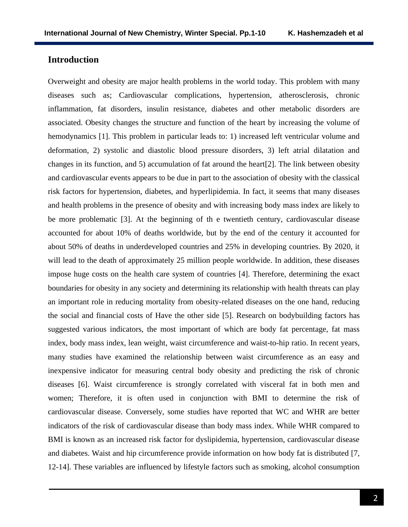### **Introduction**

Overweight and obesity are major health problems in the world today. This problem with many diseases such as; Cardiovascular complications, hypertension, atherosclerosis, chronic inflammation, fat disorders, insulin resistance, diabetes and other metabolic disorders are associated. Obesity changes the structure and function of the heart by increasing the volume of hemodynamics [1]. This problem in particular leads to: 1) increased left ventricular volume and deformation, 2) systolic and diastolic blood pressure disorders, 3) left atrial dilatation and changes in its function, and 5) accumulation of fat around the heart[2]. The link between obesity and cardiovascular events appears to be due in part to the association of obesity with the classical risk factors for hypertension, diabetes, and hyperlipidemia. In fact, it seems that many diseases and health problems in the presence of obesity and with increasing body mass index are likely to be more problematic [3]. At the beginning of th e twentieth century, cardiovascular disease accounted for about 10% of deaths worldwide, but by the end of the century it accounted for about 50% of deaths in underdeveloped countries and 25% in developing countries. By 2020, it will lead to the death of approximately 25 million people worldwide. In addition, these diseases impose huge costs on the health care system of countries [4]. Therefore, determining the exact boundaries for obesity in any society and determining its relationship with health threats can play an important role in reducing mortality from obesity-related diseases on the one hand, reducing the social and financial costs of Have the other side [5]. Research on bodybuilding factors has suggested various indicators, the most important of which are body fat percentage, fat mass index, body mass index, lean weight, waist circumference and waist-to-hip ratio. In recent years, many studies have examined the relationship between waist circumference as an easy and inexpensive indicator for measuring central body obesity and predicting the risk of chronic diseases [6]. Waist circumference is strongly correlated with visceral fat in both men and women; Therefore, it is often used in conjunction with BMI to determine the risk of cardiovascular disease. Conversely, some studies have reported that WC and WHR are better indicators of the risk of cardiovascular disease than body mass index. While WHR compared to BMI is known as an increased risk factor for dyslipidemia, hypertension, cardiovascular disease and diabetes. Waist and hip circumference provide information on how body fat is distributed [7, 12-14]. These variables are influenced by lifestyle factors such as smoking, alcohol consumption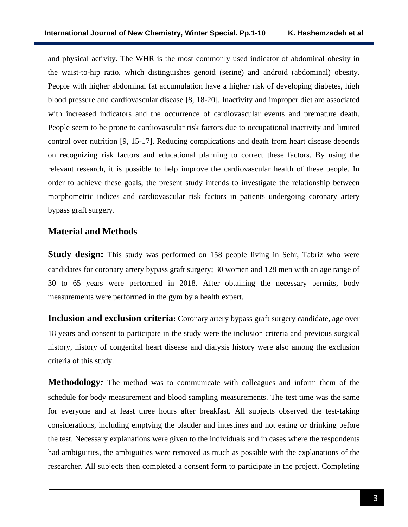and physical activity. The WHR is the most commonly used indicator of abdominal obesity in the waist-to-hip ratio, which distinguishes genoid (serine) and android (abdominal) obesity. People with higher abdominal fat accumulation have a higher risk of developing diabetes, high blood pressure and cardiovascular disease [8, 18-20]. Inactivity and improper diet are associated with increased indicators and the occurrence of cardiovascular events and premature death. People seem to be prone to cardiovascular risk factors due to occupational inactivity and limited control over nutrition [9, 15-17]. Reducing complications and death from heart disease depends on recognizing risk factors and educational planning to correct these factors. By using the relevant research, it is possible to help improve the cardiovascular health of these people. In order to achieve these goals, the present study intends to investigate the relationship between morphometric indices and cardiovascular risk factors in patients undergoing coronary artery bypass graft surgery.

# **Material and Methods**

**Study design:** This study was performed on 158 people living in Sehr, Tabriz who were candidates for coronary artery bypass graft surgery; 30 women and 128 men with an age range of 30 to 65 years were performed in 2018. After obtaining the necessary permits, body measurements were performed in the gym by a health expert.

**Inclusion and exclusion criteria:** Coronary artery bypass graft surgery candidate, age over 18 years and consent to participate in the study were the inclusion criteria and previous surgical history, history of congenital heart disease and dialysis history were also among the exclusion criteria of this study.

**Methodology***:* The method was to communicate with colleagues and inform them of the schedule for body measurement and blood sampling measurements. The test time was the same for everyone and at least three hours after breakfast. All subjects observed the test-taking considerations, including emptying the bladder and intestines and not eating or drinking before the test. Necessary explanations were given to the individuals and in cases where the respondents had ambiguities, the ambiguities were removed as much as possible with the explanations of the researcher. All subjects then completed a consent form to participate in the project. Completing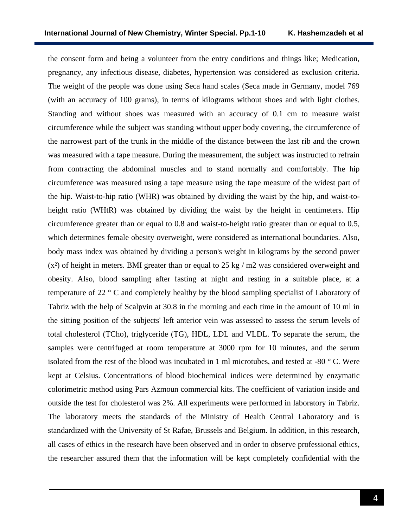the consent form and being a volunteer from the entry conditions and things like; Medication, pregnancy, any infectious disease, diabetes, hypertension was considered as exclusion criteria. The weight of the people was done using Seca hand scales (Seca made in Germany, model 769 (with an accuracy of 100 grams), in terms of kilograms without shoes and with light clothes. Standing and without shoes was measured with an accuracy of 0.1 cm to measure waist circumference while the subject was standing without upper body covering, the circumference of the narrowest part of the trunk in the middle of the distance between the last rib and the crown was measured with a tape measure. During the measurement, the subject was instructed to refrain from contracting the abdominal muscles and to stand normally and comfortably. The hip circumference was measured using a tape measure using the tape measure of the widest part of the hip. Waist-to-hip ratio (WHR) was obtained by dividing the waist by the hip, and waist-toheight ratio (WHtR) was obtained by dividing the waist by the height in centimeters. Hip circumference greater than or equal to 0.8 and waist-to-height ratio greater than or equal to 0.5, which determines female obesity overweight, were considered as international boundaries. Also, body mass index was obtained by dividing a person's weight in kilograms by the second power  $(x<sup>2</sup>)$  of height in meters. BMI greater than or equal to 25 kg / m2 was considered overweight and obesity. Also, blood sampling after fasting at night and resting in a suitable place, at a temperature of 22 ° C and completely healthy by the blood sampling specialist of Laboratory of Tabriz with the help of Scalpvin at 30.8 in the morning and each time in the amount of 10 ml in the sitting position of the subjects' left anterior vein was assessed to assess the serum levels of total cholesterol (TCho), triglyceride (TG), HDL, LDL and VLDL. To separate the serum, the samples were centrifuged at room temperature at 3000 rpm for 10 minutes, and the serum isolated from the rest of the blood was incubated in 1 ml microtubes, and tested at -80 ° C. Were kept at Celsius. Concentrations of blood biochemical indices were determined by enzymatic colorimetric method using Pars Azmoun commercial kits. The coefficient of variation inside and outside the test for cholesterol was 2%. All experiments were performed in laboratory in Tabriz. The laboratory meets the standards of the Ministry of Health Central Laboratory and is standardized with the University of St Rafae, Brussels and Belgium. In addition, in this research, all cases of ethics in the research have been observed and in order to observe professional ethics, the researcher assured them that the information will be kept completely confidential with the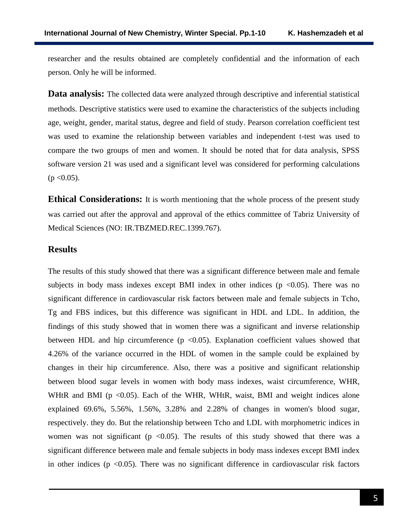researcher and the results obtained are completely confidential and the information of each person. Only he will be informed.

**Data analysis:** The collected data were analyzed through descriptive and inferential statistical methods. Descriptive statistics were used to examine the characteristics of the subjects including age, weight, gender, marital status, degree and field of study. Pearson correlation coefficient test was used to examine the relationship between variables and independent t-test was used to compare the two groups of men and women. It should be noted that for data analysis, SPSS software version 21 was used and a significant level was considered for performing calculations  $(p < 0.05)$ .

**Ethical Considerations:** It is worth mentioning that the whole process of the present study was carried out after the approval and approval of the ethics committee of Tabriz University of Medical Sciences (NO: [IR.TBZMED.REC.1399.767\)](http://ethics.research.ac.ir/IR.TBZMED.REC.1399.767).

#### **Results**

The results of this study showed that there was a significant difference between male and female subjects in body mass indexes except BMI index in other indices ( $p \le 0.05$ ). There was no significant difference in cardiovascular risk factors between male and female subjects in Tcho, Tg and FBS indices, but this difference was significant in HDL and LDL. In addition, the findings of this study showed that in women there was a significant and inverse relationship between HDL and hip circumference  $(p \lt 0.05)$ . Explanation coefficient values showed that 4.26% of the variance occurred in the HDL of women in the sample could be explained by changes in their hip circumference. Also, there was a positive and significant relationship between blood sugar levels in women with body mass indexes, waist circumference, WHR, WHtR and BMI ( $p < 0.05$ ). Each of the WHR, WHtR, waist, BMI and weight indices alone explained 69.6%, 5.56%, 1.56%, 3.28% and 2.28% of changes in women's blood sugar, respectively. they do. But the relationship between Tcho and LDL with morphometric indices in women was not significant ( $p \le 0.05$ ). The results of this study showed that there was a significant difference between male and female subjects in body mass indexes except BMI index in other indices ( $p \le 0.05$ ). There was no significant difference in cardiovascular risk factors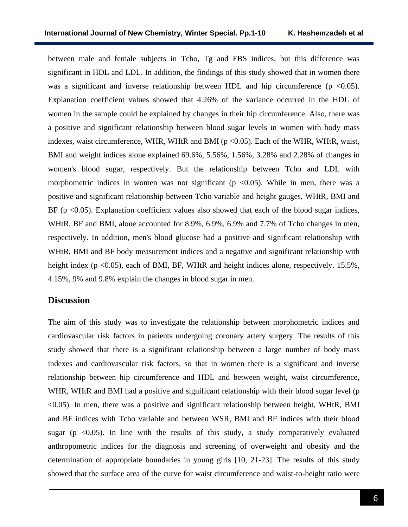between male and female subjects in Tcho, Tg and FBS indices, but this difference was significant in HDL and LDL. In addition, the findings of this study showed that in women there was a significant and inverse relationship between HDL and hip circumference ( $p \lt 0.05$ ). Explanation coefficient values showed that 4.26% of the variance occurred in the HDL of women in the sample could be explained by changes in their hip circumference. Also, there was a positive and significant relationship between blood sugar levels in women with body mass indexes, waist circumference, WHR, WHtR and BMI ( $p \le 0.05$ ). Each of the WHR, WHtR, waist, BMI and weight indices alone explained 69.6%, 5.56%, 1.56%, 3.28% and 2.28% of changes in women's blood sugar, respectively. But the relationship between Tcho and LDL with morphometric indices in women was not significant ( $p \le 0.05$ ). While in men, there was a positive and significant relationship between Tcho variable and height gauges, WHtR, BMI and BF ( $p \le 0.05$ ). Explanation coefficient values also showed that each of the blood sugar indices, WHtR, BF and BMI, alone accounted for 8.9%, 6.9%, 6.9% and 7.7% of Tcho changes in men, respectively. In addition, men's blood glucose had a positive and significant relationship with WHtR, BMI and BF body measurement indices and a negative and significant relationship with height index ( $p \le 0.05$ ), each of BMI, BF, WHtR and height indices alone, respectively. 15.5%, 4.15%, 9% and 9.8% explain the changes in blood sugar in men.

#### **Discussion**

The aim of this study was to investigate the relationship between morphometric indices and cardiovascular risk factors in patients undergoing coronary artery surgery. The results of this study showed that there is a significant relationship between a large number of body mass indexes and cardiovascular risk factors, so that in women there is a significant and inverse relationship between hip circumference and HDL and between weight, waist circumference, WHR, WHtR and BMI had a positive and significant relationship with their blood sugar level (p <0.05). In men, there was a positive and significant relationship between height, WHtR, BMI and BF indices with Tcho variable and between WSR, BMI and BF indices with their blood sugar ( $p \le 0.05$ ). In line with the results of this study, a study comparatively evaluated anthropometric indices for the diagnosis and screening of overweight and obesity and the determination of appropriate boundaries in young girls [10, 21-23]. The results of this study showed that the surface area of the curve for waist circumference and waist-to-height ratio were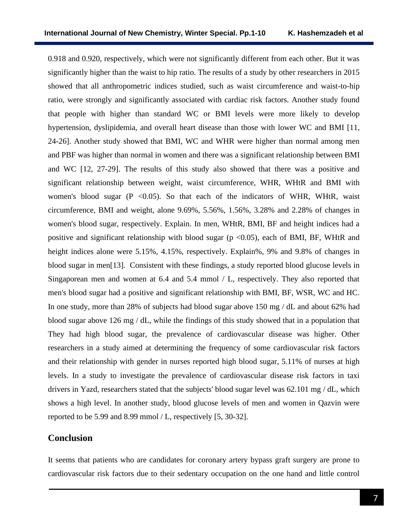0.918 and 0.920, respectively, which were not significantly different from each other. But it was significantly higher than the waist to hip ratio. The results of a study by other researchers in 2015 showed that all anthropometric indices studied, such as waist circumference and waist-to-hip ratio, were strongly and significantly associated with cardiac risk factors. Another study found that people with higher than standard WC or BMI levels were more likely to develop hypertension, dyslipidemia, and overall heart disease than those with lower WC and BMI [11, 24-26]. Another study showed that BMI, WC and WHR were higher than normal among men and PBF was higher than normal in women and there was a significant relationship between BMI and WC [12, 27-29]. The results of this study also showed that there was a positive and significant relationship between weight, waist circumference, WHR, WHtR and BMI with women's blood sugar  $(P \le 0.05)$ . So that each of the indicators of WHR, WHtR, waist circumference, BMI and weight, alone 9.69%, 5.56%, 1.56%, 3.28% and 2.28% of changes in women's blood sugar, respectively. Explain. In men, WHtR, BMI, BF and height indices had a positive and significant relationship with blood sugar ( $p \le 0.05$ ), each of BMI, BF, WHtR and height indices alone were 5.15%, 4.15%, respectively. Explain%, 9% and 9.8% of changes in blood sugar in men[13]. Consistent with these findings, a study reported blood glucose levels in Singaporean men and women at 6.4 and 5.4 mmol / L, respectively. They also reported that men's blood sugar had a positive and significant relationship with BMI, BF, WSR, WC and HC. In one study, more than 28% of subjects had blood sugar above 150 mg / dL and about 62% had blood sugar above 126 mg / dL, while the findings of this study showed that in a population that They had high blood sugar, the prevalence of cardiovascular disease was higher. Other researchers in a study aimed at determining the frequency of some cardiovascular risk factors and their relationship with gender in nurses reported high blood sugar, 5.11% of nurses at high levels. In a study to investigate the prevalence of cardiovascular disease risk factors in taxi drivers in Yazd, researchers stated that the subjects' blood sugar level was 62.101 mg / dL, which shows a high level. In another study, blood glucose levels of men and women in Qazvin were reported to be 5.99 and 8.99 mmol / L, respectively [5, 30-32].

# **Conclusion**

It seems that patients who are candidates for coronary artery bypass graft surgery are prone to cardiovascular risk factors due to their sedentary occupation on the one hand and little control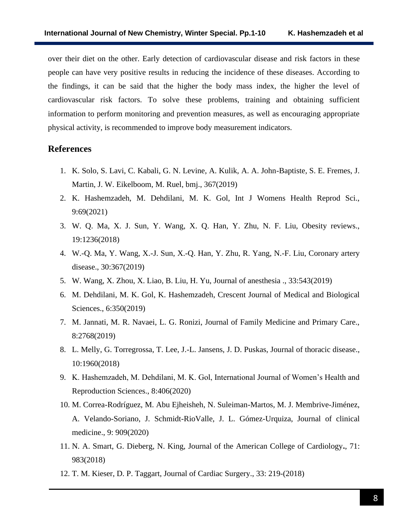over their diet on the other. Early detection of cardiovascular disease and risk factors in these people can have very positive results in reducing the incidence of these diseases. According to the findings, it can be said that the higher the body mass index, the higher the level of cardiovascular risk factors. To solve these problems, training and obtaining sufficient information to perform monitoring and prevention measures, as well as encouraging appropriate physical activity, is recommended to improve body measurement indicators.

### **References**

- 1. K. Solo, S. Lavi, C. Kabali, G. N. Levine, A. Kulik, A. A. John-Baptiste, S. E. Fremes, J. Martin, J. W. Eikelboom, M. Ruel, bmj., 367(2019)
- 2. K. Hashemzadeh, M. Dehdilani, M. K. Gol, Int J Womens Health Reprod Sci., 9:69(2021)
- 3. W. Q. Ma, X. J. Sun, Y. Wang, X. Q. Han, Y. Zhu, N. F. Liu, Obesity reviews., 19:1236(2018)
- 4. W.-Q. Ma, Y. Wang, X.-J. Sun, X.-Q. Han, Y. Zhu, R. Yang, N.-F. Liu, Coronary artery disease., 30:367(2019)
- 5. W. Wang, X. Zhou, X. Liao, B. Liu, H. Yu, Journal of anesthesia ., 33:543(2019)
- 6. M. Dehdilani, M. K. Gol, K. Hashemzadeh, Crescent Journal of Medical and Biological Sciences., 6:350(2019)
- 7. M. Jannati, M. R. Navaei, L. G. Ronizi, Journal of Family Medicine and Primary Care., 8:2768(2019)
- 8. L. Melly, G. Torregrossa, T. Lee, J.-L. Jansens, J. D. Puskas, Journal of thoracic disease., 10:1960(2018)
- 9. K. Hashemzadeh, M. Dehdilani, M. K. Gol, International Journal of Women's Health and Reproduction Sciences., 8:406(2020)
- 10. M. Correa-Rodríguez, M. Abu Ejheisheh, N. Suleiman-Martos, M. J. Membrive-Jiménez, A. Velando-Soriano, J. Schmidt-RioValle, J. L. Gómez-Urquiza, Journal of clinical medicine., 9: 909(2020)
- 11. N. A. Smart, G. Dieberg, N. King, Journal of the American College of Cardiology**.**, 71: 983(2018)
- 12. T. M. Kieser, D. P. Taggart, Journal of Cardiac Surgery., 33: 219-(2018)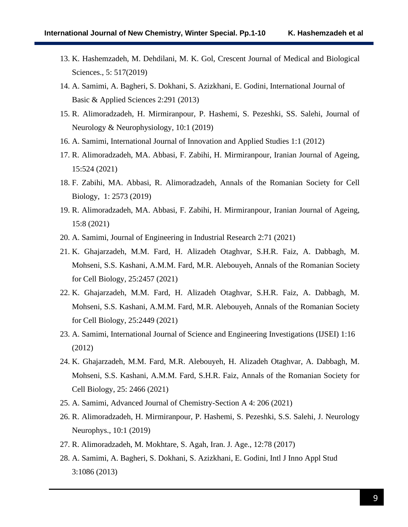- 13. K. Hashemzadeh, M. Dehdilani, M. K. Gol, Crescent Journal of Medical and Biological Sciences., 5: 517(2019)
- 14. A. Samimi, A. Bagheri, S. Dokhani, S. Azizkhani, E. Godini, International Journal of Basic & Applied Sciences 2:291 (2013)
- 15. R. Alimoradzadeh, H. Mirmiranpour, P. Hashemi, S. Pezeshki, SS. Salehi, Journal of Neurology & Neurophysiology, 10:1 (2019)
- 16. A. Samimi, International Journal of Innovation and Applied Studies 1:1 (2012)
- 17. R. Alimoradzadeh, MA. Abbasi, F. Zabihi, H. Mirmiranpour, Iranian Journal of Ageing, 15:524 (2021)
- 18. F. Zabihi, MA. Abbasi, R. Alimoradzadeh, Annals of the Romanian Society for Cell Biology, 1: 2573 (2019)
- 19. R. Alimoradzadeh, MA. Abbasi, F. Zabihi, H. Mirmiranpour, Iranian Journal of Ageing, 15:8 (2021)
- 20. A. Samimi, Journal of Engineering in Industrial Research 2:71 (2021)
- 21. K. Ghajarzadeh, M.M. Fard, H. Alizadeh Otaghvar, S.H.R. Faiz, A. Dabbagh, M. Mohseni, S.S. Kashani, A.M.M. Fard, M.R. Alebouyeh, Annals of the Romanian Society for Cell Biology, 25:2457 (2021)
- 22. K. Ghajarzadeh, M.M. Fard, H. Alizadeh Otaghvar, S.H.R. Faiz, A. Dabbagh, M. Mohseni, S.S. Kashani, A.M.M. Fard, M.R. Alebouyeh, Annals of the Romanian Society for Cell Biology, 25:2449 (2021)
- 23. A. Samimi, International Journal of Science and Engineering Investigations (IJSEI) 1:16 (2012)
- 24. K. Ghajarzadeh, M.M. Fard, M.R. Alebouyeh, H. Alizadeh Otaghvar, A. Dabbagh, M. Mohseni, S.S. Kashani, A.M.M. Fard, S.H.R. Faiz, Annals of the Romanian Society for Cell Biology, 25: 2466 (2021)
- 25. A. Samimi, Advanced Journal of Chemistry-Section A 4: 206 (2021)
- 26. R. Alimoradzadeh, H. Mirmiranpour, P. Hashemi, S. Pezeshki, S.S. Salehi, J. Neurology Neurophys., 10:1 (2019)
- 27. R. Alimoradzadeh, M. Mokhtare, S. Agah, Iran. J. Age., 12:78 (2017)
- 28. A. Samimi, A. Bagheri, S. Dokhani, S. Azizkhani, E. Godini, Intl J Inno Appl Stud 3:1086 (2013)